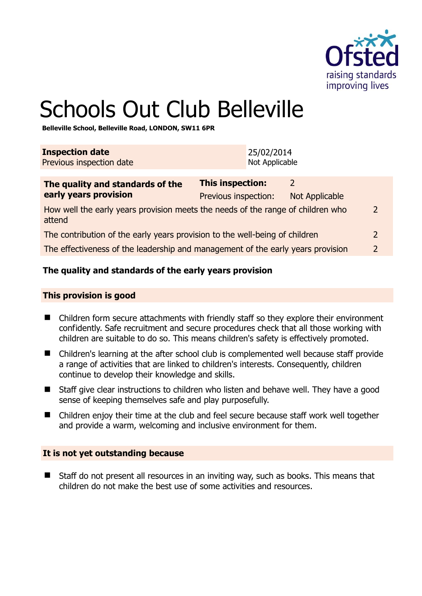

# Schools Out Club Belleville

**Belleville School, Belleville Road, LONDON, SW11 6PR** 

| <b>Inspection date</b><br>Previous inspection date                                        |                                                 | 25/02/2014<br>Not Applicable |                                        |  |
|-------------------------------------------------------------------------------------------|-------------------------------------------------|------------------------------|----------------------------------------|--|
| The quality and standards of the<br>early years provision                                 | <b>This inspection:</b><br>Previous inspection: |                              | $\mathcal{L}$<br><b>Not Applicable</b> |  |
| How well the early years provision meets the needs of the range of children who<br>attend |                                                 |                              |                                        |  |
| The contribution of the early years provision to the well-being of children               |                                                 |                              |                                        |  |
| The effectiveness of the leadership and management of the early years provision           |                                                 |                              |                                        |  |
|                                                                                           |                                                 |                              |                                        |  |

# **The quality and standards of the early years provision**

#### **This provision is good**

- Children form secure attachments with friendly staff so they explore their environment confidently. Safe recruitment and secure procedures check that all those working with children are suitable to do so. This means children's safety is effectively promoted.
- Children's learning at the after school club is complemented well because staff provide a range of activities that are linked to children's interests. Consequently, children continue to develop their knowledge and skills.
- Staff give clear instructions to children who listen and behave well. They have a good sense of keeping themselves safe and play purposefully.
- Children enjoy their time at the club and feel secure because staff work well together and provide a warm, welcoming and inclusive environment for them.

#### **It is not yet outstanding because**

■ Staff do not present all resources in an inviting way, such as books. This means that children do not make the best use of some activities and resources.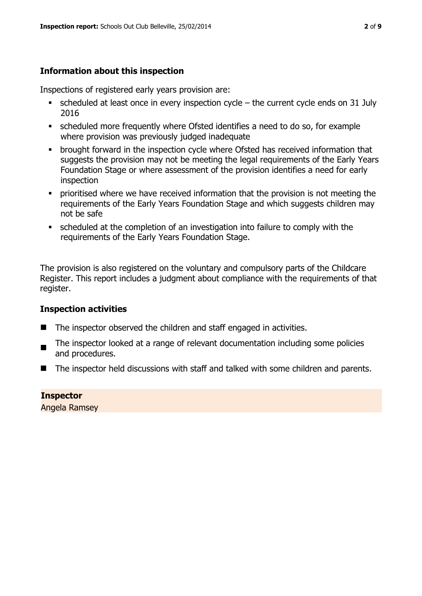# **Information about this inspection**

Inspections of registered early years provision are:

- $\bullet$  scheduled at least once in every inspection cycle the current cycle ends on 31 July 2016
- scheduled more frequently where Ofsted identifies a need to do so, for example where provision was previously judged inadequate
- **•** brought forward in the inspection cycle where Ofsted has received information that suggests the provision may not be meeting the legal requirements of the Early Years Foundation Stage or where assessment of the provision identifies a need for early inspection
- **•** prioritised where we have received information that the provision is not meeting the requirements of the Early Years Foundation Stage and which suggests children may not be safe
- scheduled at the completion of an investigation into failure to comply with the requirements of the Early Years Foundation Stage.

The provision is also registered on the voluntary and compulsory parts of the Childcare Register. This report includes a judgment about compliance with the requirements of that register.

# **Inspection activities**

- The inspector observed the children and staff engaged in activities.
- The inspector looked at a range of relevant documentation including some policies and procedures.
- The inspector held discussions with staff and talked with some children and parents.

# **Inspector**

Angela Ramsey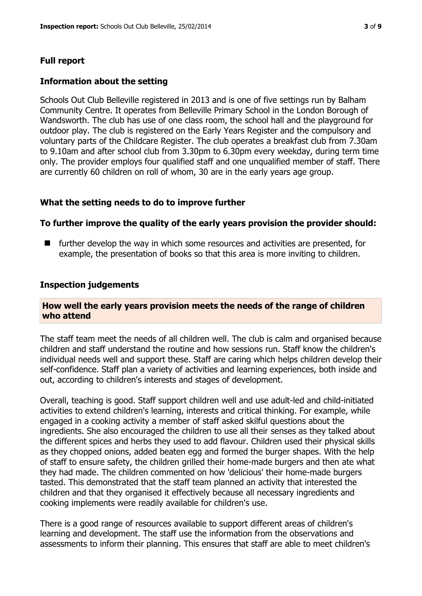# **Full report**

#### **Information about the setting**

Schools Out Club Belleville registered in 2013 and is one of five settings run by Balham Community Centre. It operates from Belleville Primary School in the London Borough of Wandsworth. The club has use of one class room, the school hall and the playground for outdoor play. The club is registered on the Early Years Register and the compulsory and voluntary parts of the Childcare Register. The club operates a breakfast club from 7.30am to 9.10am and after school club from 3.30pm to 6.30pm every weekday, during term time only. The provider employs four qualified staff and one unqualified member of staff. There are currently 60 children on roll of whom, 30 are in the early years age group.

#### **What the setting needs to do to improve further**

#### **To further improve the quality of the early years provision the provider should:**

**E** further develop the way in which some resources and activities are presented, for example, the presentation of books so that this area is more inviting to children.

#### **Inspection judgements**

#### **How well the early years provision meets the needs of the range of children who attend**

The staff team meet the needs of all children well. The club is calm and organised because children and staff understand the routine and how sessions run. Staff know the children's individual needs well and support these. Staff are caring which helps children develop their self-confidence. Staff plan a variety of activities and learning experiences, both inside and out, according to children's interests and stages of development.

Overall, teaching is good. Staff support children well and use adult-led and child-initiated activities to extend children's learning, interests and critical thinking. For example, while engaged in a cooking activity a member of staff asked skilful questions about the ingredients. She also encouraged the children to use all their senses as they talked about the different spices and herbs they used to add flavour. Children used their physical skills as they chopped onions, added beaten egg and formed the burger shapes. With the help of staff to ensure safety, the children grilled their home-made burgers and then ate what they had made. The children commented on how 'delicious' their home-made burgers tasted. This demonstrated that the staff team planned an activity that interested the children and that they organised it effectively because all necessary ingredients and cooking implements were readily available for children's use.

There is a good range of resources available to support different areas of children's learning and development. The staff use the information from the observations and assessments to inform their planning. This ensures that staff are able to meet children's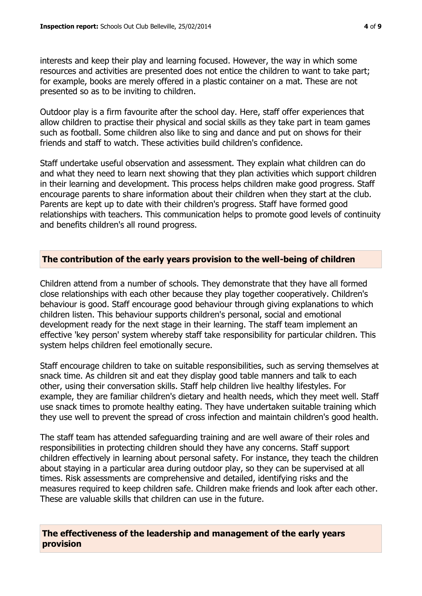interests and keep their play and learning focused. However, the way in which some resources and activities are presented does not entice the children to want to take part; for example, books are merely offered in a plastic container on a mat. These are not presented so as to be inviting to children.

Outdoor play is a firm favourite after the school day. Here, staff offer experiences that allow children to practise their physical and social skills as they take part in team games such as football. Some children also like to sing and dance and put on shows for their friends and staff to watch. These activities build children's confidence.

Staff undertake useful observation and assessment. They explain what children can do and what they need to learn next showing that they plan activities which support children in their learning and development. This process helps children make good progress. Staff encourage parents to share information about their children when they start at the club. Parents are kept up to date with their children's progress. Staff have formed good relationships with teachers. This communication helps to promote good levels of continuity and benefits children's all round progress.

## **The contribution of the early years provision to the well-being of children**

Children attend from a number of schools. They demonstrate that they have all formed close relationships with each other because they play together cooperatively. Children's behaviour is good. Staff encourage good behaviour through giving explanations to which children listen. This behaviour supports children's personal, social and emotional development ready for the next stage in their learning. The staff team implement an effective 'key person' system whereby staff take responsibility for particular children. This system helps children feel emotionally secure.

Staff encourage children to take on suitable responsibilities, such as serving themselves at snack time. As children sit and eat they display good table manners and talk to each other, using their conversation skills. Staff help children live healthy lifestyles. For example, they are familiar children's dietary and health needs, which they meet well. Staff use snack times to promote healthy eating. They have undertaken suitable training which they use well to prevent the spread of cross infection and maintain children's good health.

The staff team has attended safeguarding training and are well aware of their roles and responsibilities in protecting children should they have any concerns. Staff support children effectively in learning about personal safety. For instance, they teach the children about staying in a particular area during outdoor play, so they can be supervised at all times. Risk assessments are comprehensive and detailed, identifying risks and the measures required to keep children safe. Children make friends and look after each other. These are valuable skills that children can use in the future.

**The effectiveness of the leadership and management of the early years provision**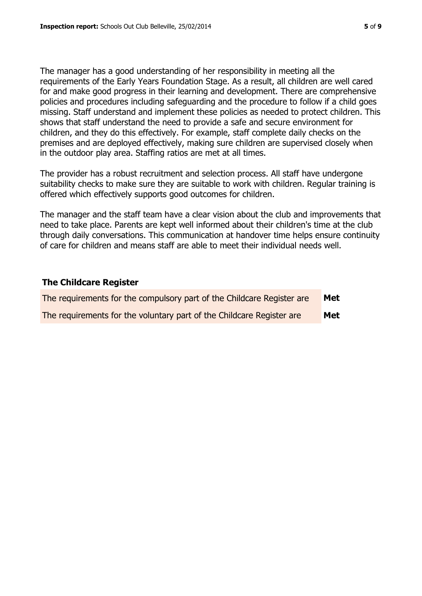The manager has a good understanding of her responsibility in meeting all the requirements of the Early Years Foundation Stage. As a result, all children are well cared for and make good progress in their learning and development. There are comprehensive policies and procedures including safeguarding and the procedure to follow if a child goes missing. Staff understand and implement these policies as needed to protect children. This shows that staff understand the need to provide a safe and secure environment for children, and they do this effectively. For example, staff complete daily checks on the premises and are deployed effectively, making sure children are supervised closely when in the outdoor play area. Staffing ratios are met at all times.

The provider has a robust recruitment and selection process. All staff have undergone suitability checks to make sure they are suitable to work with children. Regular training is offered which effectively supports good outcomes for children.

The manager and the staff team have a clear vision about the club and improvements that need to take place. Parents are kept well informed about their children's time at the club through daily conversations. This communication at handover time helps ensure continuity of care for children and means staff are able to meet their individual needs well.

#### **The Childcare Register**

| The requirements for the compulsory part of the Childcare Register are | Met |
|------------------------------------------------------------------------|-----|
| The requirements for the voluntary part of the Childcare Register are  | Met |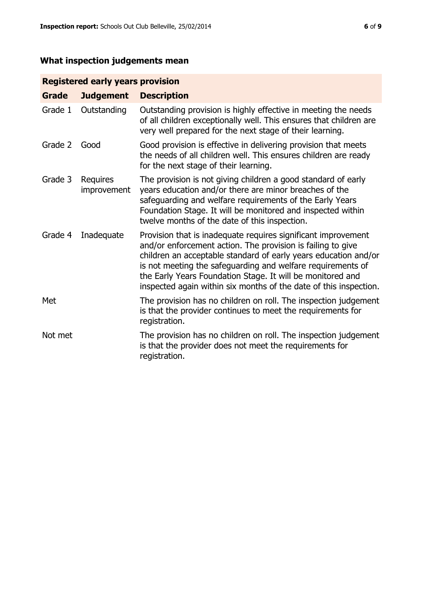# **What inspection judgements mean**

# **Registered early years provision**

| <b>Grade</b> | <b>Judgement</b>        | <b>Description</b>                                                                                                                                                                                                                                                                                                                                                                                |
|--------------|-------------------------|---------------------------------------------------------------------------------------------------------------------------------------------------------------------------------------------------------------------------------------------------------------------------------------------------------------------------------------------------------------------------------------------------|
| Grade 1      | Outstanding             | Outstanding provision is highly effective in meeting the needs<br>of all children exceptionally well. This ensures that children are<br>very well prepared for the next stage of their learning.                                                                                                                                                                                                  |
| Grade 2      | Good                    | Good provision is effective in delivering provision that meets<br>the needs of all children well. This ensures children are ready<br>for the next stage of their learning.                                                                                                                                                                                                                        |
| Grade 3      | Requires<br>improvement | The provision is not giving children a good standard of early<br>years education and/or there are minor breaches of the<br>safeguarding and welfare requirements of the Early Years<br>Foundation Stage. It will be monitored and inspected within<br>twelve months of the date of this inspection.                                                                                               |
| Grade 4      | Inadequate              | Provision that is inadequate requires significant improvement<br>and/or enforcement action. The provision is failing to give<br>children an acceptable standard of early years education and/or<br>is not meeting the safeguarding and welfare requirements of<br>the Early Years Foundation Stage. It will be monitored and<br>inspected again within six months of the date of this inspection. |
| Met          |                         | The provision has no children on roll. The inspection judgement<br>is that the provider continues to meet the requirements for<br>registration.                                                                                                                                                                                                                                                   |
| Not met      |                         | The provision has no children on roll. The inspection judgement<br>is that the provider does not meet the requirements for<br>registration.                                                                                                                                                                                                                                                       |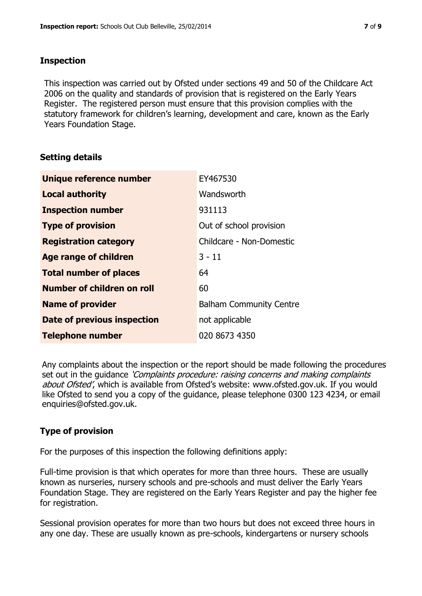#### **Inspection**

This inspection was carried out by Ofsted under sections 49 and 50 of the Childcare Act 2006 on the quality and standards of provision that is registered on the Early Years Register. The registered person must ensure that this provision complies with the statutory framework for children's learning, development and care, known as the Early Years Foundation Stage.

## **Setting details**

| <b>Unique reference number</b>    | EY467530                       |
|-----------------------------------|--------------------------------|
| <b>Local authority</b>            | Wandsworth                     |
| <b>Inspection number</b>          | 931113                         |
| <b>Type of provision</b>          | Out of school provision        |
| <b>Registration category</b>      | Childcare - Non-Domestic       |
| <b>Age range of children</b>      | $3 - 11$                       |
| <b>Total number of places</b>     | 64                             |
| <b>Number of children on roll</b> | 60                             |
| <b>Name of provider</b>           | <b>Balham Community Centre</b> |
| Date of previous inspection       | not applicable                 |
| <b>Telephone number</b>           | 020 8673 4350                  |

Any complaints about the inspection or the report should be made following the procedures set out in the guidance *'Complaints procedure: raising concerns and making complaints* about Ofsted', which is available from Ofsted's website: www.ofsted.gov.uk. If you would like Ofsted to send you a copy of the guidance, please telephone 0300 123 4234, or email enquiries@ofsted.gov.uk.

# **Type of provision**

For the purposes of this inspection the following definitions apply:

Full-time provision is that which operates for more than three hours. These are usually known as nurseries, nursery schools and pre-schools and must deliver the Early Years Foundation Stage. They are registered on the Early Years Register and pay the higher fee for registration.

Sessional provision operates for more than two hours but does not exceed three hours in any one day. These are usually known as pre-schools, kindergartens or nursery schools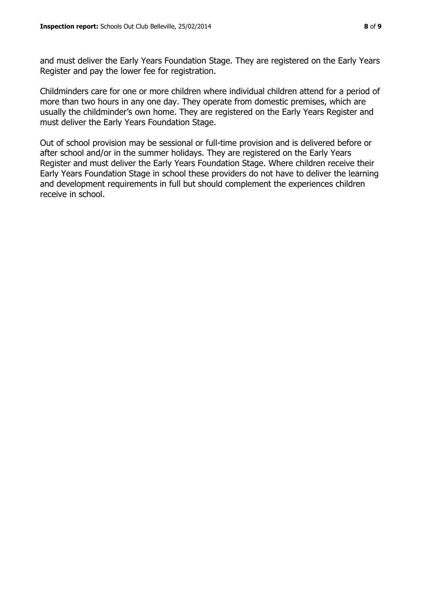and must deliver the Early Years Foundation Stage. They are registered on the Early Years Register and pay the lower fee for registration.

Childminders care for one or more children where individual children attend for a period of more than two hours in any one day. They operate from domestic premises, which are usually the childminder's own home. They are registered on the Early Years Register and must deliver the Early Years Foundation Stage.

Out of school provision may be sessional or full-time provision and is delivered before or after school and/or in the summer holidays. They are registered on the Early Years Register and must deliver the Early Years Foundation Stage. Where children receive their Early Years Foundation Stage in school these providers do not have to deliver the learning and development requirements in full but should complement the experiences children receive in school.